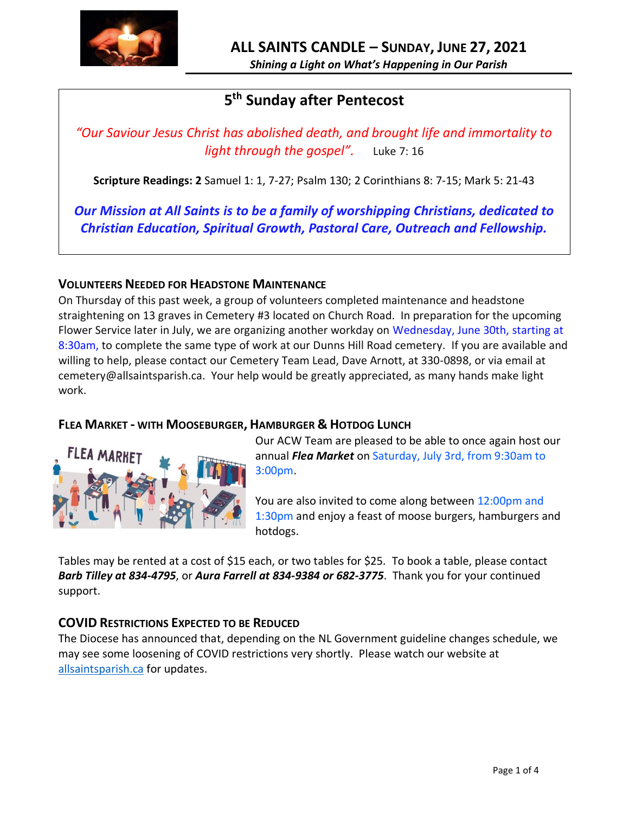

# **5 th Sunday after Pentecost**

*"Our Saviour Jesus Christ has abolished death, and brought life and immortality to light through the gospel".* Luke 7: 16

**Scripture Readings: 2** Samuel 1: 1, 7-27; Psalm 130; 2 Corinthians 8: 7-15; Mark 5: 21-43

*Our Mission at All Saints is to be a family of worshipping Christians, dedicated to Christian Education, Spiritual Growth, Pastoral Care, Outreach and Fellowship.*

# **VOLUNTEERS NEEDED FOR HEADSTONE MAINTENANCE**

On Thursday of this past week, a group of volunteers completed maintenance and headstone straightening on 13 graves in Cemetery #3 located on Church Road. In preparation for the upcoming Flower Service later in July, we are organizing another workday on Wednesday, June 30th, starting at 8:30am, to complete the same type of work at our Dunns Hill Road cemetery. If you are available and willing to help, please contact our Cemetery Team Lead, Dave Arnott, at 330-0898, or via email at cemetery@allsaintsparish.ca. Your help would be greatly appreciated, as many hands make light work.

# **FLEA MARKET - WITH MOOSEBURGER, HAMBURGER & HOTDOG LUNCH**



Our ACW Team are pleased to be able to once again host our annual *Flea Market* on Saturday, July 3rd, from 9:30am to 3:00pm.

You are also invited to come along between 12:00pm and 1:30pm and enjoy a feast of moose burgers, hamburgers and hotdogs.

Tables may be rented at a cost of \$15 each, or two tables for \$25. To book a table, please contact *Barb Tilley at 834-4795*, or *Aura Farrell at 834-9384 or 682-3775*. Thank you for your continued support.

# **COVID RESTRICTIONS EXPECTED TO BE REDUCED**

The Diocese has announced that, depending on the NL Government guideline changes schedule, we may see some loosening of COVID restrictions very shortly. Please watch our website at <allsaintsparish.ca> for updates.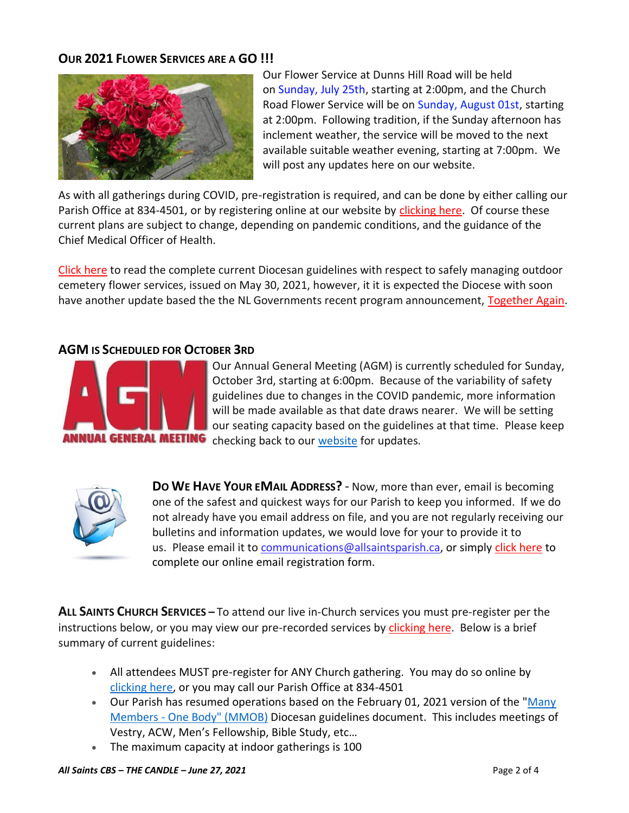# **OUR 2021 FLOWER SERVICES ARE A GO !!!**



Our Flower Service at Dunns Hill Road will be held on Sunday, July 25th, starting at 2:00pm, and the Church Road Flower Service will be on Sunday, August 01st, starting at 2:00pm. Following tradition, if the Sunday afternoon has inclement weather, the service will be moved to the next available suitable weather evening, starting at 7:00pm. We will post any updates here on our website.

As with all gatherings during COVID, pre-registration is required, and can be done by either calling our Parish Office at 834-4501, or by registering online at our website by [clicking here.](http://allsaintsparish.ca/covid-pre-registration-form) Of course these current plans are subject to change, depending on pandemic conditions, and the guidance of the Chief Medical Officer of Health.

[Click here](https://anglicanenl.net/home/wp-content/uploads/2021/05/Guidelines-for-Outdoor-Flower-services-May-2021.pdf) to read the complete current Diocesan guidelines with respect to safely managing outdoor cemetery flower services, issued on May 30, 2021, however, it it is expected the Diocese with soon have another update based the the NL Governments recent program announcement, [Together Again.](https://www.gov.nl.ca/covid-19/together-again/)

### **AGM IS SCHEDULED FOR OCTOBER 3RD**



Our Annual General Meeting (AGM) is currently scheduled for Sunday, October 3rd, starting at 6:00pm. Because of the variability of safety guidelines due to changes in the COVID pandemic, more information will be made available as that date draws nearer. We will be setting our seating capacity based on the guidelines at that time. Please keep checking back to our [website](/Users/ralphfagan/Documents/All%20Saints%20Parish/Candle/ASP%202021%20Candle/allsaintsparish.ca) for updates.



**DO WE HAVE YOUR EMAIL ADDRESS?** - Now, more than ever, email is becoming one of the safest and quickest ways for our Parish to keep you informed. If we do not already have you email address on file, and you are not regularly receiving our bulletins and information updates, we would love for your to provide it to us. Please email it t[o communications@allsaintsparish.ca,](mailto:communications@allsaintsparish.ca?subject=eMail%20Address%20Update) or simply [click here](http://allsaintsparish.ca/email_updates) to complete our online email registration form.

**ALL SAINTS CHURCH SERVICES –** To attend our live in-Church services you must pre-register per the instructions below, or you may view our pre-recorded services by [clicking here.](http://allsaintsparish.ca/recorded-church-services) Below is a brief summary of current guidelines:

- All attendees MUST pre-register for ANY Church gathering. You may do so online by [clicking here,](http://allsaintsparish.ca/covid-pre-registration-form) or you may call our Parish Office at 834-4501
- Our Parish has resumed operations based on the February 01, 2021 version of the "Many Members - [One Body" \(MMOB\)](https://anglicanenl.net/home/wp-content/uploads/2021/02/Many-Members-One-Body-February-2021.pdf) Diocesan guidelines document. This includes meetings of Vestry, ACW, Men's Fellowship, Bible Study, etc…
- The maximum capacity at indoor gatherings is 100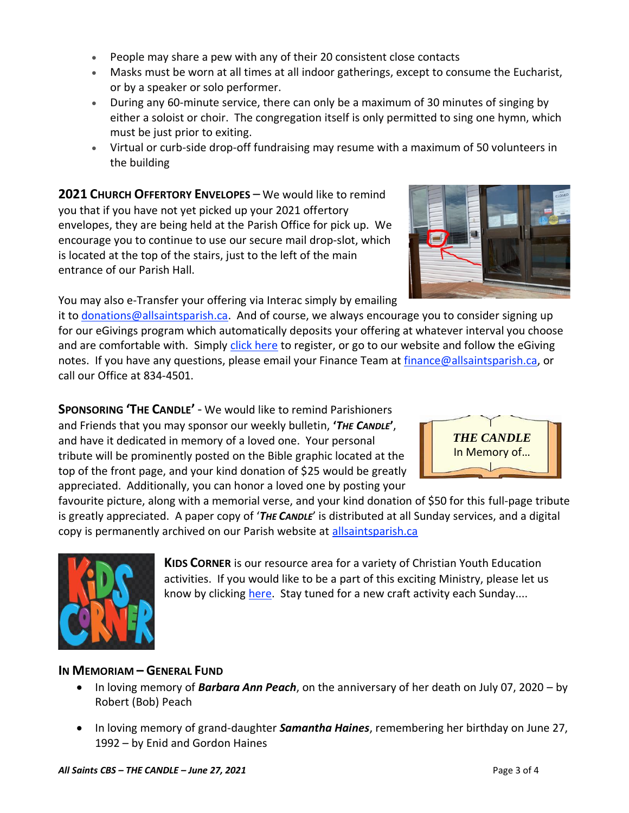- People may share a pew with any of their 20 consistent close contacts
- Masks must be worn at all times at all indoor gatherings, except to consume the Eucharist, or by a speaker or solo performer.
- During any 60-minute service, there can only be a maximum of 30 minutes of singing by either a soloist or choir. The congregation itself is only permitted to sing one hymn, which must be just prior to exiting.
- Virtual or curb-side drop-off fundraising may resume with a maximum of 50 volunteers in the building

**2021 CHURCH OFFERTORY ENVELOPES** – We would like to remind you that if you have not yet picked up your 2021 offertory envelopes, they are being held at the Parish Office for pick up. We encourage you to continue to use our secure mail drop-slot, which is located at the top of the stairs, just to the left of the main entrance of our Parish Hall.

You may also e-Transfer your offering via Interac simply by emailing

it to [donations@allsaintsparish.ca.](mailto:donations@allsaintsparish.ca) And of course, we always encourage you to consider signing up for our eGivings program which automatically deposits your offering at whatever interval you choose and are comfortable with. Simply [click here](http://allsaintsparish.ca/egiving-online-information-form) to register, or go to our website and follow the eGiving notes. If you have [any](https://wfsites-to.websitecreatorprotool.com/870a5dd5.com/Admin/%7BSK_NODEID__22939341__SK%7D) questions, please email your Finance Team at [finance@allsaintsparish.ca,](mailto:finance@allsaintsparish.ca) or call our Office at 834-4501.

**SPONSORING 'THE CANDLE'** - We would like to remind Parishioners and Friends that you may sponsor our weekly bulletin, **'***THE CANDLE***'**, and have it dedicated in memory of a loved one. Your personal tribute will be prominently posted on the Bible graphic located at the top of the front page, and your kind donation of \$25 would be greatly appreciated. Additionally, you can honor a loved one by posting your

favourite picture, along with a memorial verse, and your kind donation of \$50 for this full-page tribute is greatly appreciated. A paper copy of '*THE CANDLE*' is distributed at all Sunday services, and a digital copy is permanently archived on our Parish website at [allsaintsparish.ca](http://allsaintsparish.ca/thecandle.html)

> **KIDS CORNER** is our resource area for a variety of Christian Youth Education activities. If you would like to be a part of this exciting Ministry, please let us know by clicking [here.](http://allsaintsparish.ca/index.html#comments) Stay tuned for a new craft activity each Sunday....

# **IN MEMORIAM – GENERAL FUND**

- In loving memory of *Barbara Ann Peach*, on the anniversary of her death on July 07, 2020 by Robert (Bob) Peach
- In loving memory of grand-daughter *Samantha Haines*, remembering her birthday on June 27, 1992 – by Enid and Gordon Haines